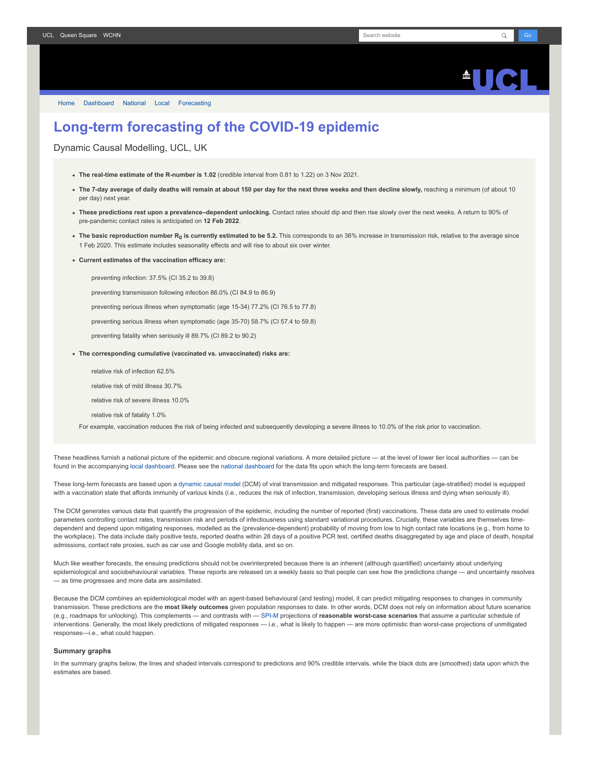

[Home](https://www.fil.ion.ucl.ac.uk/spm/covid-19/) [Dashboard](https://www.fil.ion.ucl.ac.uk/spm/covid-19/dashboard/) [National](https://www.fil.ion.ucl.ac.uk/spm/covid-19/dashboard/) [Local](https://www.fil.ion.ucl.ac.uk/spm/covid-19/dashboard/local/) [Forecasting](https://www.fil.ion.ucl.ac.uk/spm/covid-19/forecasting/)

## **Long-term forecasting of the COVID-19 epidemic**

Dynamic Causal Modelling, UCL, UK

- **The real-time estimate of the R-number is 1.02** (credible interval from 0.81 to 1.22) on 3 Nov 2021.
- **The 7-day average of daily deaths will remain at about 150 per day for the next three weeks and then decline slowly,** reaching a minimum (of about 10 per day) next year.
- **These predictions rest upon a prevalence–dependent unlocking.** Contact rates should dip and then rise slowly over the next weeks. A return to 90% of pre-pandemic contact rates is anticipated on **12 Feb 2022**.
- **The basic reproduction number R<sup>0</sup> is currently estimated to be 5.2.** This corresponds to an 36% increase in transmission risk, relative to the average since 1 Feb 2020. This estimate includes seasonality effects and will rise to about six over winter.
- **Current estimates of the vaccination efficacy are:**

preventing infection: 37.5% (CI 35.2 to 39.8)

preventing transmission following infection 86.0% (CI 84.9 to 86.9)

preventing serious illness when symptomatic (age 15-34) 77.2% (CI 76.5 to 77.8)

preventing serious illness when symptomatic (age 35-70) 58.7% (CI 57.4 to 59.8)

preventing fatality when seriously ill 89.7% (CI 89.2 to 90.2)

- **The corresponding cumulative (vaccinated vs. unvaccinated) risks are:**
	- relative risk of infection 62.5%
	- relative risk of mild illness 30.7%
	- relative risk of severe illness 10.0%
	- relative risk of fatality 1.0%

For example, vaccination reduces the risk of being infected and subsequently developing a severe illness to 10.0% of the risk prior to vaccination.

These headlines furnish a national picture of the epidemic and obscure regional variations. A more detailed picture — at the level of lower tier local authorities — can be found in the accompanying [local dashboard](https://www.fil.ion.ucl.ac.uk/spm/covid-19/dashboard/local/). Please see the [national dashboard](https://www.fil.ion.ucl.ac.uk/spm/covid-19/dashboard/) for the data fits upon which the long-term forecasts are based.

These long-term forecasts are based upon a [dynamic causal model](https://www.fil.ion.ucl.ac.uk/spm/covid-19) (DCM) of viral transmission and mitigated responses. This particular (age-stratified) model is equipped with a vaccination state that affords immunity of various kinds (i.e., reduces the risk of infection, transmission, developing serious illness and dying when seriously ill).

The DCM generates various data that quantify the progression of the epidemic, including the number of reported (first) vaccinations. These data are used to estimate model parameters controlling contact rates, transmission risk and periods of infectiousness using standard variational procedures. Crucially, these variables are themselves timedependent and depend upon mitigating responses, modelled as the (prevalence-dependent) probability of moving from low to high contact rate locations (e.g., from home to the workplace). The data include daily positive tests, reported deaths within 28 days of a positive PCR test, certified deaths disaggregated by age and place of death, hospital admissions, contact rate proxies, such as car use and Google mobility data, and so on.

Much like weather forecasts, the ensuing predictions should not be overinterpreted because there is an inherent (although quantified) uncertainty about underlying epidemiological and sociobehavioural variables. These reports are released on a weekly basis so that people can see how the predictions change — and uncertainty resolves — as time progresses and more data are assimilated.

Because the DCM combines an epidemiological model with an agent-based behavioural (and testing) model, it can predict mitigating responses to changes in community transmission. These predictions are the **most likely outcomes** given population responses to date. In other words, DCM does not rely on information about future scenarios (e.g., roadmaps for unlocking). This complements — and contrasts with — [SPI-M](https://www.gov.uk/government/groups/scientific-pandemic-influenza-subgroup-on-modelling) projections of **reasonable worst-case scenarios** that assume a particular schedule of interventions. Generally, the most likely predictions of mitigated responses - i.e., what is likely to happen - are more optimistic than worst-case projections of unmitigated responses—i.e., what could happen.

## **Summary graphs**

In the summary graphs below, the lines and shaded intervals correspond to predictions and 90% credible intervals, while the black dots are (smoothed) data upon which the estimates are based.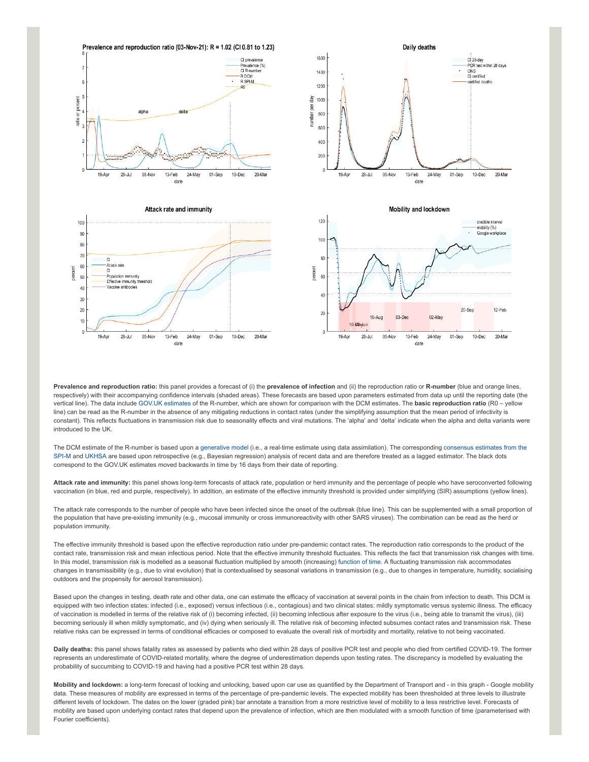

**Prevalence and reproduction ratio:** this panel provides a forecast of (i) the **prevalence of infection** and (ii) the reproduction ratio or **R-number** (blue and orange lines, respectively) with their accompanying confidence intervals (shaded areas). These forecasts are based upon parameters estimated from data up until the reporting date (the vertical line). The data include [GOV.UK estimates](https://www.gov.uk/guidance/the-r-number-in-the-uk#latest-r-and-growth-rate) of the R-number, which are shown for comparison with the DCM estimates. The **basic reproduction ratio** (R0 – yellow line) can be read as the R-number in the absence of any mitigating reductions in contact rates (under the simplifying assumption that the mean period of infectivity is constant). This reflects fluctuations in transmission risk due to seasonality effects and viral mutations. The 'alpha' and 'delta' indicate when the alpha and delta variants were introduced to the UK.

[The DCM estimate of the R-number is based upon a g](https://www.gov.uk/guidance/the-r-number-in-the-uk#contents)[enerative mode](https://en.wikipedia.org/wiki/Generative_model)[l \(i.e., a real-time estimate using data assimilation\). The corresponding consensus estimates from the](https://www.gov.uk/guidance/the-r-number-in-the-uk#contents) SPI-M and [UKHSA](https://www.gov.uk/government/news/uk-health-security-agency-to-take-on-the-modelling-of-the-r-value-and-growth-rate) are based upon retrospective (e.g., Bayesian regression) analysis of recent data and are therefore treated as a lagged estimator. The black dots correspond to the GOV.UK estimates moved backwards in time by 16 days from their date of reporting.

**Attack rate and immunity:** this panel shows long-term forecasts of attack rate, population or herd immunity and the percentage of people who have seroconverted following vaccination (in blue, red and purple, respectively). In addition, an estimate of the effective immunity threshold is provided under simplifying (SIR) assumptions (yellow lines).

The attack rate corresponds to the number of people who have been infected since the onset of the outbreak (blue line). This can be supplemented with a small proportion of the population that have pre-existing immunity (e.g., mucosal immunity or cross immunoreactivity with other SARS viruses). The combination can be read as the herd or population immunity.

The effective immunity threshold is based upon the effective reproduction ratio under pre-pandemic contact rates. The reproduction ratio corresponds to the product of the contact rate, transmission risk and mean infectious period. Note that the effective immunity threshold fluctuates. This reflects the fact that transmission risk changes with time. In this model, transmission risk is modelled as a seasonal fluctuation multiplied by smooth (increasing) [function of time.](https://www.medrxiv.org/content/10.1101/2021.01.10.21249520v1) A fluctuating transmission risk accommodates changes in transmissibility (e.g., due to viral evolution) that is contextualised by seasonal variations in transmission (e.g., due to changes in temperature, humidity, socialising outdoors and the propensity for aerosol transmission).

Based upon the changes in testing, death rate and other data, one can estimate the efficacy of vaccination at several points in the chain from infection to death. This DCM is equipped with two infection states: infected (i.e., exposed) versus infectious (i.e., contagious) and two clinical states: mildly symptomatic versus systemic illness. The efficacy of vaccination is modelled in terms of the relative risk of (i) becoming infected, (ii) becoming infectious after exposure to the virus (i.e., being able to transmit the virus), (iii) becoming seriously ill when mildly symptomatic, and (iv) dying when seriously ill. The relative risk of becoming infected subsumes contact rates and transmission risk. These relative risks can be expressed in terms of conditional efficacies or composed to evaluate the overall risk of morbidity and mortality, relative to not being vaccinated.

**Daily deaths:** this panel shows fatality rates as assessed by patients who died within 28 days of positive PCR test and people who died from certified COVID-19. The former represents an underestimate of COVID-related mortality, where the degree of underestimation depends upon testing rates. The discrepancy is modelled by evaluating the probability of succumbing to COVID-19 and having had a positive PCR test within 28 days.

**Mobility and lockdown:** a long-term forecast of locking and unlocking, based upon car use as quantified by the Department of Transport and - in this graph - Google mobility data. These measures of mobility are expressed in terms of the percentage of pre-pandemic levels. The expected mobility has been thresholded at three levels to illustrate different levels of lockdown. The dates on the lower (graded pink) bar annotate a transition from a more restrictive level of mobility to a less restrictive level. Forecasts of mobility are based upon underlying contact rates that depend upon the prevalence of infection, which are then modulated with a smooth function of time (parameterised with Fourier coefficients).